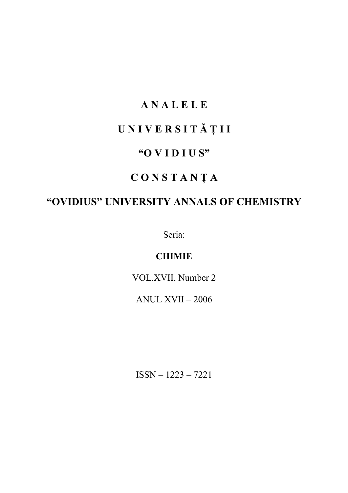### **A N A L E L E**

# **U N I V E R S I T Ă Ţ I I**

### **"O V I D I U S"**

### **C O N S T A N Ţ A**

## **"OVIDIUS" UNIVERSITY ANNALS OF CHEMISTRY**

Seria:

### **CHIMIE**

VOL.XVII, Number 2

ANUL XVII – 2006

ISSN – 1223 – 7221